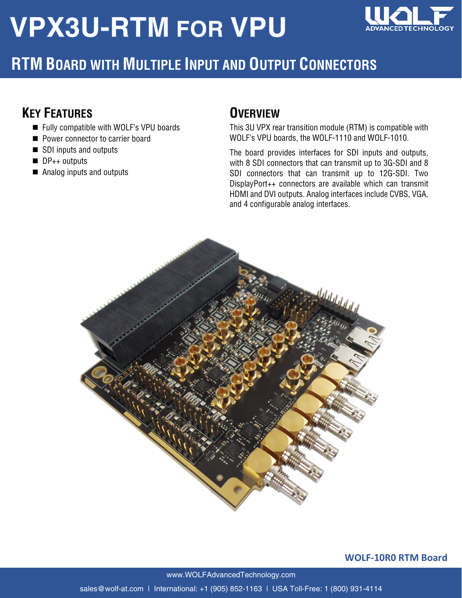# **VPX3U-RTM FOR VPU**



### **RTM BOARD WITH MULTIPLE INPUT AND OUTPUT CONNECTORS**

#### **KEY FEATURES**

- Fully compatible with WOLF's VPU boards
- Power connector to carrier board
- SDI inputs and outputs
- $\blacksquare$  DP<sub>++</sub> outputs
- Analog inputs and outputs

#### **OVERVIEW**

This 3U VPX rear transition module (RTM) is compatible with WOLF's VPU boards, the WOLF-1110 and WOLF-1010.

The board provides interfaces for SDI inputs and outputs, with 8 SDI connectors that can transmit up to 3G-SDI and 8 SDI connectors that can transmit up to 12G-SDI. Two DisplayPort++ connectors are available which can transmit HDMI and DVI outputs. Analog interfaces include CVBS, VGA, and 4 configurable analog interfaces.



**WOLF-10R0 RTM Board**

www.WOLFAdvancedTechnology.com